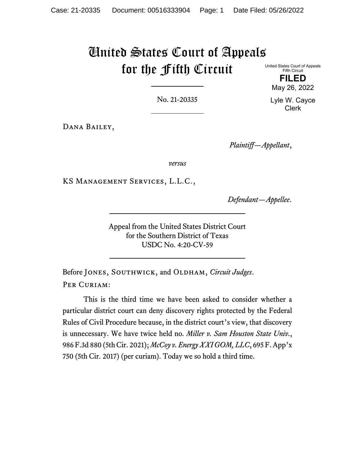# United States Court of Appeals for the Fifth Circuit

United States Court of Appeals Fifth Circuit **FILED**

May 26, 2022

Lyle W. Cayce Clerk

No. 21-20335

Dana Bailey,

*Plaintiff—Appellant*,

*versus*

KS Management Services, L.L.C.,

*Defendant—Appellee*.

Appeal from the United States District Court for the Southern District of Texas USDC No. 4:20-CV-59

Before JONES, SOUTHWICK, and OLDHAM, *Circuit Judges*. PER CURIAM:

This is the third time we have been asked to consider whether a particular district court can deny discovery rights protected by the Federal Rules of Civil Procedure because, in the district court's view, that discovery is unnecessary. We have twice held no. *Miller v. Sam Houston State Univ.*, 986 F.3d 880 (5th Cir. 2021); *McCoy v. Energy XXI GOM, LLC*, 695 F. App'x 750 (5th Cir. 2017) (per curiam). Today we so hold a third time.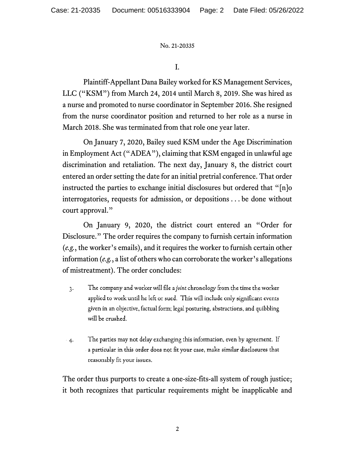I.

Plaintiff-Appellant Dana Bailey worked for KS Management Services, LLC ("KSM") from March 24, 2014 until March 8, 2019. She was hired as a nurse and promoted to nurse coordinator in September 2016. She resigned from the nurse coordinator position and returned to her role as a nurse in March 2018. She was terminated from that role one year later.

On January 7, 2020, Bailey sued KSM under the Age Discrimination in Employment Act ("ADEA"), claiming that KSM engaged in unlawful age discrimination and retaliation. The next day, January 8, the district court entered an order setting the date for an initial pretrial conference. That order instructed the parties to exchange initial disclosures but ordered that "[n]o interrogatories, requests for admission, or depositions . . . be done without court approval."

On January 9, 2020, the district court entered an "Order for Disclosure." The order requires the company to furnish certain information (*e.g.*, the worker's emails), and it requires the worker to furnish certain other information (*e.g.*, a list of others who can corroborate the worker's allegations of mistreatment). The order concludes:

- The company and worker will file a joint chronology from the time the worker  $\mathbf{R}$ applied to work until he left or sued. This will include only significant events given in an objective, factual form; legal posturing, abstractions, and quibbling will be crushed.
- The parties may not delay exchanging this information, even by agreement. If  $4.$ a particular in this order does not fit your case, make similar disclosures that reasonably fit your issues.

The order thus purports to create a one-size-fits-all system of rough justice; it both recognizes that particular requirements might be inapplicable and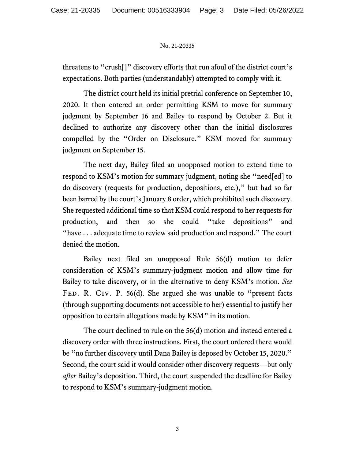threatens to "crush[]" discovery efforts that run afoul of the district court's expectations. Both parties (understandably) attempted to comply with it.

The district court held its initial pretrial conference on September 10, 2020. It then entered an order permitting KSM to move for summary judgment by September 16 and Bailey to respond by October 2. But it declined to authorize any discovery other than the initial disclosures compelled by the "Order on Disclosure." KSM moved for summary judgment on September 15.

The next day, Bailey filed an unopposed motion to extend time to respond to KSM's motion for summary judgment, noting she "need[ed] to do discovery (requests for production, depositions, etc.)," but had so far been barred by the court's January 8 order, which prohibited such discovery. She requested additional time so that KSM could respond to her requests for production, and then so she could "take depositions" and "have . . . adequate time to review said production and respond." The court denied the motion.

Bailey next filed an unopposed Rule 56(d) motion to defer consideration of KSM's summary-judgment motion and allow time for Bailey to take discovery, or in the alternative to deny KSM's motion. *See*  FED. R. CIV. P. 56(d). She argued she was unable to "present facts (through supporting documents not accessible to her) essential to justify her opposition to certain allegations made by KSM" in its motion.

The court declined to rule on the 56(d) motion and instead entered a discovery order with three instructions. First, the court ordered there would be "no further discovery until Dana Bailey is deposed by October 15, 2020." Second, the court said it would consider other discovery requests—but only *after* Bailey's deposition. Third, the court suspended the deadline for Bailey to respond to KSM's summary-judgment motion.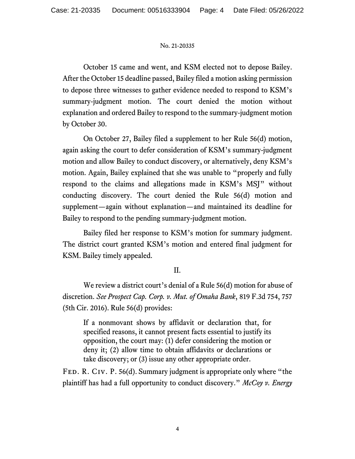October 15 came and went, and KSM elected not to depose Bailey. After the October 15 deadline passed, Bailey filed a motion asking permission to depose three witnesses to gather evidence needed to respond to KSM's summary-judgment motion. The court denied the motion without explanation and ordered Bailey to respond to the summary-judgment motion by October 30.

On October 27, Bailey filed a supplement to her Rule 56(d) motion, again asking the court to defer consideration of KSM's summary-judgment motion and allow Bailey to conduct discovery, or alternatively, deny KSM's motion. Again, Bailey explained that she was unable to "properly and fully respond to the claims and allegations made in KSM's MSJ" without conducting discovery. The court denied the Rule 56(d) motion and supplement—again without explanation—and maintained its deadline for Bailey to respond to the pending summary-judgment motion.

Bailey filed her response to KSM's motion for summary judgment. The district court granted KSM's motion and entered final judgment for KSM. Bailey timely appealed.

# II.

We review a district court's denial of a Rule 56(d) motion for abuse of discretion. *See Prospect Cap. Corp. v. Mut. of Omaha Bank*, 819 F.3d 754, 757 (5th Cir. 2016). Rule 56(d) provides:

If a nonmovant shows by affidavit or declaration that, for specified reasons, it cannot present facts essential to justify its opposition, the court may: (1) defer considering the motion or deny it; (2) allow time to obtain affidavits or declarations or take discovery; or (3) issue any other appropriate order.

Fed. R. Civ. P. 56(d). Summary judgment is appropriate only where "the plaintiff has had a full opportunity to conduct discovery." *McCoy v. Energy*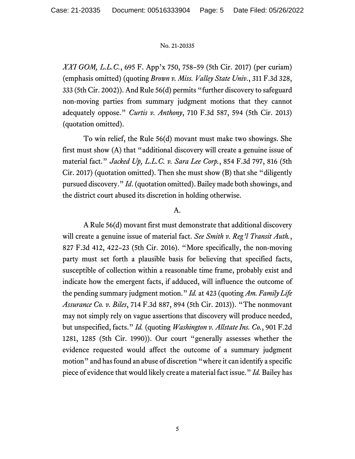*XXI GOM, L.L.C.*, 695 F. App'x 750, 758–59 (5th Cir. 2017) (per curiam) (emphasis omitted) (quoting *Brown v. Miss. Valley State Univ.*, 311 F.3d 328, 333 (5th Cir. 2002)). And Rule 56(d) permits "further discovery to safeguard non-moving parties from summary judgment motions that they cannot adequately oppose." *Curtis v. Anthony*, 710 F.3d 587, 594 (5th Cir. 2013) (quotation omitted).

To win relief, the Rule 56(d) movant must make two showings. She first must show (A) that "additional discovery will create a genuine issue of material fact." *Jacked Up, L.L.C. v. Sara Lee Corp.*, 854 F.3d 797, 816 (5th Cir. 2017) (quotation omitted). Then she must show (B) that she "diligently pursued discovery." *Id*. (quotation omitted). Bailey made both showings, and the district court abused its discretion in holding otherwise.

# A.

A Rule 56(d) movant first must demonstrate that additional discovery will create a genuine issue of material fact. *See Smith v. Reg'l Transit Auth.*, 827 F.3d 412, 422–23 (5th Cir. 2016). "More specifically, the non-moving party must set forth a plausible basis for believing that specified facts, susceptible of collection within a reasonable time frame, probably exist and indicate how the emergent facts, if adduced, will influence the outcome of the pending summary judgment motion." *Id.* at 423 (quoting *Am. Family Life Assurance Co. v. Biles*, 714 F.3d 887, 894 (5th Cir. 2013)). "The nonmovant may not simply rely on vague assertions that discovery will produce needed, but unspecified, facts." *Id.* (quoting *Washington v. Allstate Ins. Co.*, 901 F.2d 1281, 1285 (5th Cir. 1990)). Our court "generally assesses whether the evidence requested would affect the outcome of a summary judgment motion" and has found an abuse of discretion "where it can identify a specific piece of evidence that would likely create a material fact issue." *Id.* Bailey has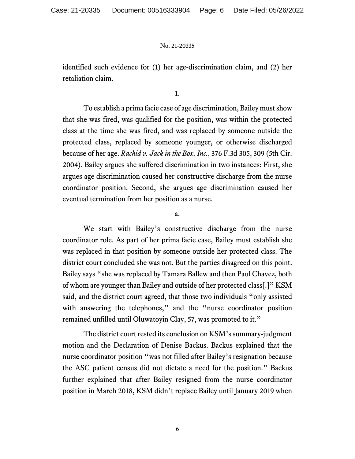identified such evidence for (1) her age-discrimination claim, and (2) her retaliation claim.

1.

To establish a prima facie case of age discrimination, Bailey must show that she was fired, was qualified for the position, was within the protected class at the time she was fired, and was replaced by someone outside the protected class, replaced by someone younger, or otherwise discharged because of her age. *Rachid v. Jack in the Box, Inc.*, 376 F.3d 305, 309 (5th Cir. 2004). Bailey argues she suffered discrimination in two instances: First, she argues age discrimination caused her constructive discharge from the nurse coordinator position. Second, she argues age discrimination caused her eventual termination from her position as a nurse.

a.

We start with Bailey's constructive discharge from the nurse coordinator role. As part of her prima facie case, Bailey must establish she was replaced in that position by someone outside her protected class. The district court concluded she was not. But the parties disagreed on this point. Bailey says "she was replaced by Tamara Ballew and then Paul Chavez, both of whom are younger than Bailey and outside of her protected class[.]" KSM said, and the district court agreed, that those two individuals "only assisted with answering the telephones," and the "nurse coordinator position remained unfilled until Oluwatoyin Clay, 57, was promoted to it."

The district court rested its conclusion on KSM's summary-judgment motion and the Declaration of Denise Backus. Backus explained that the nurse coordinator position "was not filled after Bailey's resignation because the ASC patient census did not dictate a need for the position." Backus further explained that after Bailey resigned from the nurse coordinator position in March 2018, KSM didn't replace Bailey until January 2019 when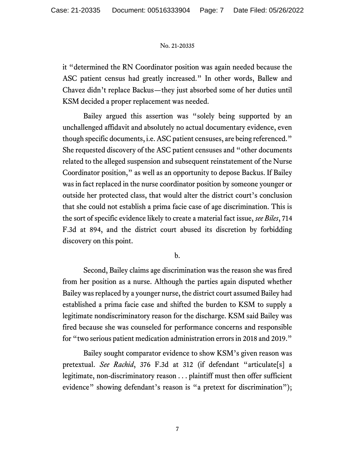it "determined the RN Coordinator position was again needed because the ASC patient census had greatly increased." In other words, Ballew and Chavez didn't replace Backus—they just absorbed some of her duties until KSM decided a proper replacement was needed.

Bailey argued this assertion was "solely being supported by an unchallenged affidavit and absolutely no actual documentary evidence, even though specific documents, i.e. ASC patient censuses, are being referenced." She requested discovery of the ASC patient censuses and "other documents related to the alleged suspension and subsequent reinstatement of the Nurse Coordinator position," as well as an opportunity to depose Backus. If Bailey was in fact replaced in the nurse coordinator position by someone younger or outside her protected class, that would alter the district court's conclusion that she could not establish a prima facie case of age discrimination. This is the sort of specific evidence likely to create a material fact issue, *see Biles*, 714 F.3d at 894, and the district court abused its discretion by forbidding discovery on this point.

b.

Second, Bailey claims age discrimination was the reason she was fired from her position as a nurse. Although the parties again disputed whether Bailey was replaced by a younger nurse, the district court assumed Bailey had established a prima facie case and shifted the burden to KSM to supply a legitimate nondiscriminatory reason for the discharge. KSM said Bailey was fired because she was counseled for performance concerns and responsible for "two serious patient medication administration errors in 2018 and 2019."

Bailey sought comparator evidence to show KSM's given reason was pretextual. *See Rachid*, 376 F.3d at 312 (if defendant "articulate[s] a legitimate, non-discriminatory reason . . . plaintiff must then offer sufficient evidence" showing defendant's reason is "a pretext for discrimination");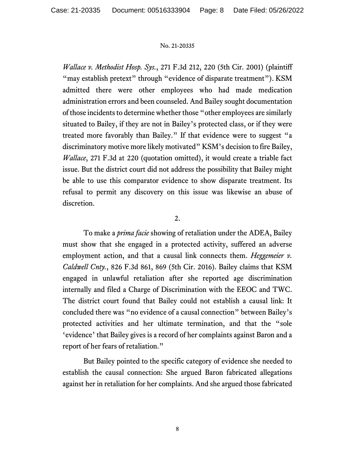*Wallace v. Methodist Hosp. Sys.*, 271 F.3d 212, 220 (5th Cir. 2001) (plaintiff "may establish pretext" through "evidence of disparate treatment"). KSM admitted there were other employees who had made medication administration errors and been counseled. And Bailey sought documentation of those incidents to determine whether those "other employees are similarly situated to Bailey, if they are not in Bailey's protected class, or if they were treated more favorably than Bailey." If that evidence were to suggest "a discriminatory motive more likely motivated" KSM's decision to fire Bailey, *Wallace*, 271 F.3d at 220 (quotation omitted), it would create a triable fact issue. But the district court did not address the possibility that Bailey might be able to use this comparator evidence to show disparate treatment. Its refusal to permit any discovery on this issue was likewise an abuse of discretion.

# 2.

To make a *prima facie* showing of retaliation under the ADEA, Bailey must show that she engaged in a protected activity, suffered an adverse employment action, and that a causal link connects them. *Heggemeier v*. *Caldwell Cnty.*, 826 F.3d 861, 869 (5th Cir. 2016). Bailey claims that KSM engaged in unlawful retaliation after she reported age discrimination internally and filed a Charge of Discrimination with the EEOC and TWC. The district court found that Bailey could not establish a causal link: It concluded there was "no evidence of a causal connection" between Bailey's protected activities and her ultimate termination, and that the "sole 'evidence' that Bailey gives is a record of her complaints against Baron and a report of her fears of retaliation."

But Bailey pointed to the specific category of evidence she needed to establish the causal connection: She argued Baron fabricated allegations against her in retaliation for her complaints. And she argued those fabricated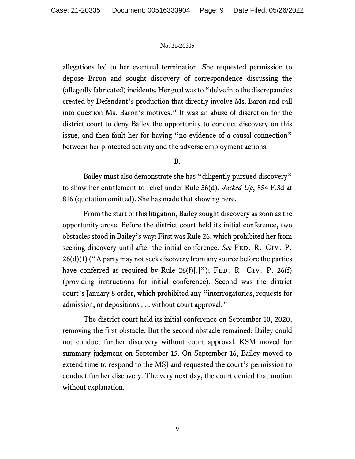allegations led to her eventual termination. She requested permission to depose Baron and sought discovery of correspondence discussing the (allegedly fabricated) incidents. Her goal was to "delve into the discrepancies created by Defendant's production that directly involve Ms. Baron and call into question Ms. Baron's motives." It was an abuse of discretion for the district court to deny Bailey the opportunity to conduct discovery on this issue, and then fault her for having "no evidence of a causal connection" between her protected activity and the adverse employment actions.

# B.

Bailey must also demonstrate she has "diligently pursued discovery" to show her entitlement to relief under Rule 56(d). *Jacked Up*, 854 F.3d at 816 (quotation omitted). She has made that showing here.

From the start of this litigation, Bailey sought discovery as soon as the opportunity arose. Before the district court held its initial conference, two obstacles stood in Bailey's way: First was Rule 26, which prohibited her from seeking discovery until after the initial conference. *See* FED. R. CIV. P.  $26(d)(1)$  ("A party may not seek discovery from any source before the parties have conferred as required by Rule  $26(f)$ [.]"); FED. R. CIV. P. 26(f) (providing instructions for initial conference). Second was the district court's January 8 order, which prohibited any "interrogatories, requests for admission, or depositions . . . without court approval."

The district court held its initial conference on September 10, 2020, removing the first obstacle. But the second obstacle remained: Bailey could not conduct further discovery without court approval. KSM moved for summary judgment on September 15. On September 16, Bailey moved to extend time to respond to the MSJ and requested the court's permission to conduct further discovery. The very next day, the court denied that motion without explanation.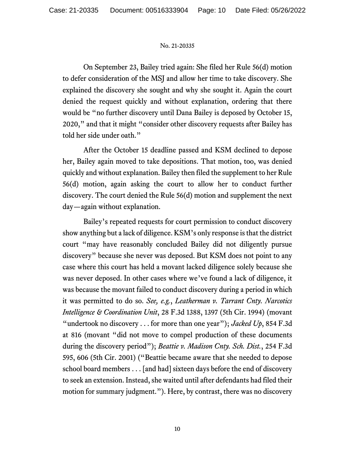On September 23, Bailey tried again: She filed her Rule 56(d) motion to defer consideration of the MSJ and allow her time to take discovery. She explained the discovery she sought and why she sought it. Again the court denied the request quickly and without explanation, ordering that there would be "no further discovery until Dana Bailey is deposed by October 15, 2020," and that it might "consider other discovery requests after Bailey has told her side under oath."

After the October 15 deadline passed and KSM declined to depose her, Bailey again moved to take depositions. That motion, too, was denied quickly and without explanation. Bailey then filed the supplement to her Rule 56(d) motion, again asking the court to allow her to conduct further discovery. The court denied the Rule 56(d) motion and supplement the next day—again without explanation.

Bailey's repeated requests for court permission to conduct discovery show anything but a lack of diligence. KSM's only response is that the district court "may have reasonably concluded Bailey did not diligently pursue discovery" because she never was deposed. But KSM does not point to any case where this court has held a movant lacked diligence solely because she was never deposed. In other cases where we've found a lack of diligence, it was because the movant failed to conduct discovery during a period in which it was permitted to do so. *See, e.g.*, *Leatherman v. Tarrant Cnty. Narcotics Intelligence & Coordination Unit*, 28 F.3d 1388, 1397 (5th Cir. 1994) (movant "undertook no discovery . . . for more than one year"); *Jacked Up*, 854 F.3d at 816 (movant "did not move to compel production of these documents during the discovery period"); *Beattie v. Madison Cnty. Sch. Dist.*, 254 F.3d 595, 606 (5th Cir. 2001) ("Beattie became aware that she needed to depose school board members . . . [and had] sixteen days before the end of discovery to seek an extension. Instead, she waited until after defendants had filed their motion for summary judgment."). Here, by contrast, there was no discovery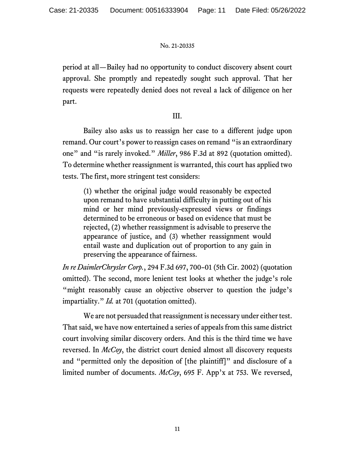period at all—Bailey had no opportunity to conduct discovery absent court approval. She promptly and repeatedly sought such approval. That her requests were repeatedly denied does not reveal a lack of diligence on her part.

# III.

Bailey also asks us to reassign her case to a different judge upon remand. Our court's power to reassign cases on remand "is an extraordinary one" and "is rarely invoked." *Miller*, 986 F.3d at 892 (quotation omitted). To determine whether reassignment is warranted, this court has applied two tests. The first, more stringent test considers:

(1) whether the original judge would reasonably be expected upon remand to have substantial difficulty in putting out of his mind or her mind previously-expressed views or findings determined to be erroneous or based on evidence that must be rejected, (2) whether reassignment is advisable to preserve the appearance of justice, and (3) whether reassignment would entail waste and duplication out of proportion to any gain in preserving the appearance of fairness.

*In re DaimlerChrysler Corp.*, 294 F.3d 697, 700–01 (5th Cir. 2002) (quotation omitted). The second, more lenient test looks at whether the judge's role "might reasonably cause an objective observer to question the judge's impartiality." *Id.* at 701 (quotation omitted).

We are not persuaded that reassignment is necessary under either test. That said, we have now entertained a series of appeals from this same district court involving similar discovery orders. And this is the third time we have reversed. In *McCoy*, the district court denied almost all discovery requests and "permitted only the deposition of [the plaintiff]" and disclosure of a limited number of documents. *McCoy*, 695 F. App'x at 753. We reversed,